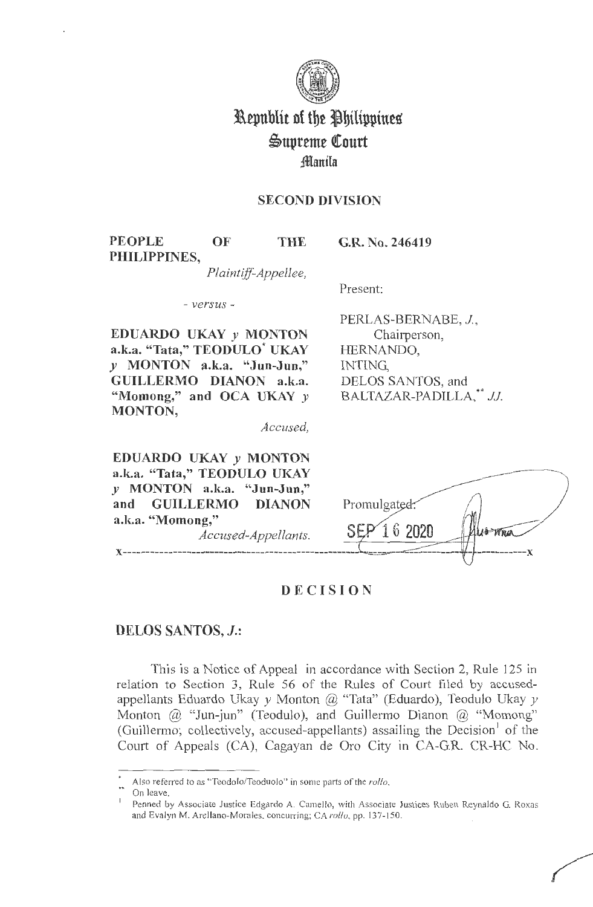

## **Republic of the Philippines**  $\mathfrak{S}$ upreme Court **;ffianila**

#### **SECOND DIVISION**

**PEOPLE OF THE PHILIPPINES,** 

**G.R. No. 246419** 

*Plaintiff-Appellee,* 

Present:

- *versus* -

**EDUARDO UKAY** *y* **MONTON a.k.a. "Tata," TEODULO\* UKAY**  *y* **MONTON a.k.a. "Jun-Jun,"**  GUILLERMO DIANON a.k.a. "Momong," and OCA UKAY  $\nu$ **MONTON,** 

PERLAS-BERNABE, J, Chairperson, HERNANDO, INTING, DELOS SANTOS, and BALTAZAR-PADILLA,\*\* JJ.

*Accused,* 

**EDUARDO UKAY** *y* **MONTON a.k.a. "Tata," TEODULO UKAY**  *y* **MONTON a.k.a. "Jun-Jun," and GUILLERMO DIANON a.k.a. "Momong,"** 

*Accused-Appellants.* 



### **DECISION**

#### **DELOS SANTOS, J.:**

This is a Notice of Appeal in accordance with Section 2, Rule 125 in relation to Section 3, Rule 56 of the Rules of Court filed by accusedappellants Eduardo Ukay *y* Monton @ "Tata" (Eduardo), Teodulo Ukay *y*  Monton @ "Jun-jun" (Teodulo), and Guillermo Dianon @ "Momong" (Guillermo; collectively, accused-appellants) assailing the Decision of the Court of Appeals (CA), Cagayan de Oro City in CA-G.R. CR-HC No.

Also referred to as "Teodolo/Teoduolo" in some parts of the rollo.

On leave.

Penned by Associate Justice Edgardo A. Camello, with Associate Justices Ruben Reynaldo G. Roxas and Evalyn M. Arellano-Morales. concurring; CA rollo, pp. 137-150.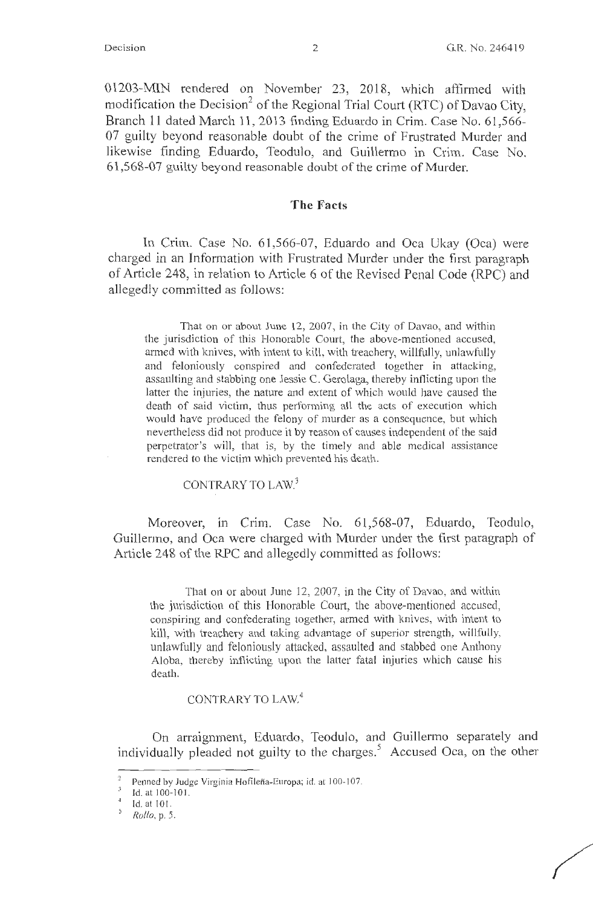01203-MIN rendered on November 23, 2018, which affirmed with modification the Decision<sup>2</sup> of the Regional Trial Court (RTC) of Davao City, Branch 11 dated March 11, 2013 finding Eduardo in Crim. Case No. 61,566- 07 guilty beyond reasonable doubt of the crime of Frustrated Murder and likewise finding Eduardo, Teodulo, and Guillermo in Crim. Case No. 61,568-07 guilty beyond reasonable doubt of the crime of Murder.

#### **The Facts**

In Crim. Case No. 61,566-07, Eduardo and Oca Ukay (Oca) were charged in an Information with Frustrated Murder under the first paragraph of Article 248, in relation to Article 6 of the Revised Penal Code (RPC) and allegedly committed as follows:

That on or about June 12, 2007, in the City of Davao, and within the jurisdiction of this Honorable Court, the above-mentioned accused, armed with knives, with intent to kill, with treachery, willfully, unlawfully and feloniously conspired and confederated together in attacking, assaulting and stabbing one Jessie C. Gerolaga, thereby inflicting upon the latter the injuries, the nature and extent of which would have caused the death of said victim, thus performing all the acts of execution which would have produced the felony of murder as a consequence, but which nevertheless did not produce it by reason of causes independent of the said perpetrator's will, that is, by the timely and able medical assistance rendered to the victim which prevented his death.

CONTRARY TO LAW.<sup>3</sup>

Moreover, in Crim. Case No. 61,568-07, Eduardo, Teodulo, Guillermo, and Oca were charged with Murder under the first paragraph of Article 248 of the RPC and allegedly committed as follows:

That on or about June 12, 2007, in the City of Davao, and within the jurisdiction of this Honorable Court, the above-mentioned accused, conspiring and confederating together, armed with knives, with intent to kill, with treachery and taking advantage of superior strength, willfully, unlawfully and feloniously attacked, assaulted and stabbed one Anthony Aloba, thereby inflicting upon the latter fatal injuries which cause his death.

CONTRARY TO LAW.<sup>4</sup>

On arraignment, Eduardo, Teodulo, and Guillermo separately and individually pleaded not guilty to the charges.<sup>5</sup> Accused Oca, on the other

 $\overline{a}$ Penned by Judge Virginia Hofileña-Europa; id. at 100-107.

 $\frac{3}{4}$  Id. at 100-101.<br>
Id. at 101.

*<sup>5</sup> Rollo,* p. 5.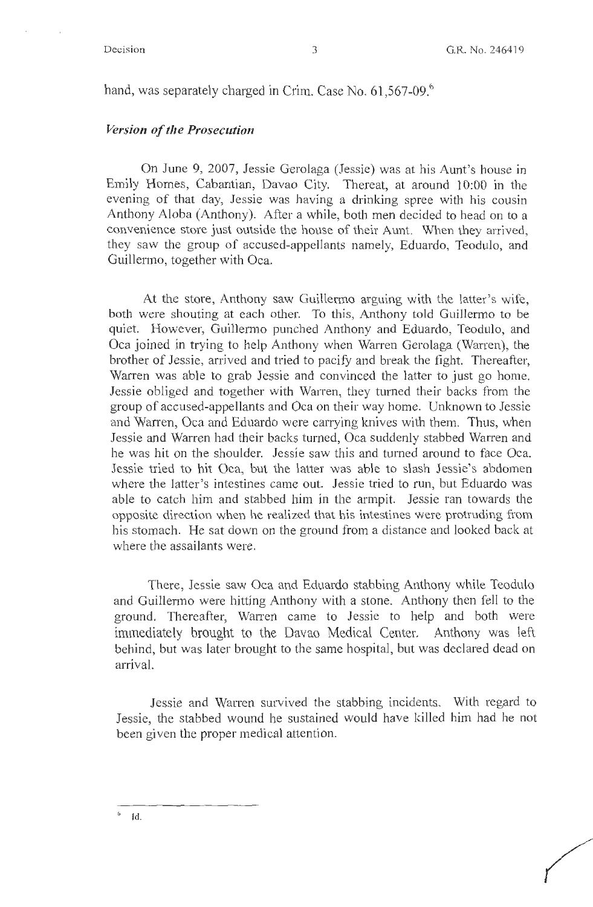hand, was separately charged in Crim. Case No. 61,567-09.<sup>6</sup>

#### *Version of the Prosecution*

On June 9, 2007, Jessie Gerolaga (Jessie) was at his Aunt's house in Emily Homes, Cabantian, Davao City. Thereat, at around 10:00 in the evening of that day, Jessie was having a drinking spree with his cousin Anthony Aloba (Anthony). After a while, both men decided to head on to a convenience store just outside the house of their Aunt. When they arrived, they saw the group of accused-appellants namely, Eduardo, Teodulo, and Guillermo, together with Oca.

At the store, Anthony saw Guillermo arguing with the latter's wife, both were shouting at each other. To this, Anthony told Guillermo to be quiet. However, Guillermo punched Anthony and Eduardo, Teodulo, and Oca joined in trying to help Anthony when Warren Gerolaga (Warren), the brother of Jessie, arrived and tried to pacify and break the fight. Thereafter, Warren was able to grab Jessie and convinced the latter to just go home. Jessie obliged and together with Warren, they turned their backs from the group of accused-appellants and Oca on their way home. Unknown to Jessie and Warren, Oca and Eduardo were carrying knives with them. Thus, when Jessie and Warren had their backs turned, Oca suddenly stabbed Warren and he was hit on the shoulder. Jessie saw this and turned around to face Oca. Jessie tried to hit Oca, but the latter was able to slash Jessie's abdomen where the latter's intestines came out. Jessie tried to run, but Eduardo was able to catch him and stabbed him in the armpit. Jessie ran towards the opposite direction when he realized that his intestines were protruding from his stomach. He sat down on the ground from a distance and looked back at where the assailants were.

There, Jessie saw Oca and Eduardo stabbing Anthony while Teodulo and Guillenno were hitting Anthony with a stone. Anthony then fell to the ground. Thereafter, Warren came to Jessie to help and both were immediately brought to the Davao Medical Center. Anthony was left behind, but was later brought to the same hospital, but was declared dead on arrival.

Jessie and Warren survived the stabbing incidents. With regard to Jessie, the stabbed wound he sustained would have killed him had he not been given the proper medical attention.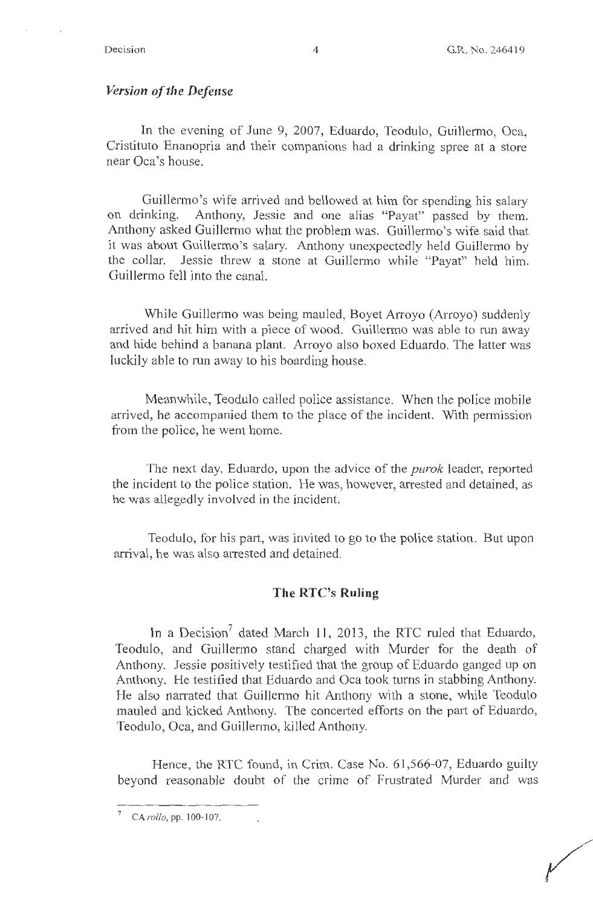#### *Version of the Defense*

In the evening of June 9, 2007, Eduardo, Teodulo, Guillermo, Oca, Cristituto Enanopria and their companions had a drinking spree at a store near Oca's house.

Guillermo's wife arrived and bellowed at him for spending his salary on drinking. Anthony, Jessie and one alias "Payat" passed by them. Anthony asked Guillermo what the problem was. Guillermo's wife said that it was about Guillermo's salary. Anthony unexpectedly held Guillermo by the collar. Jessie threw a stone at Guillermo while "Payat" held him. Guillermo fell into the canal.

While Guillermo was being mauled, Boyet Arroyo (Arroyo) suddenly arrived and hit him with a piece of wood. Guillermo was able to run away and hide behind a banana plant. Arroyo also boxed Eduardo. The latter was luckily able to run away to his boarding house.

Meanwhile, Teodulo called police assistance. When the police mobile arrived, he accompanied them to the place of the incident. With permission from the police, he went home.

The next day, Eduardo, upon the advice of the *purok* leader, reported the incident to the police station. He was, however, arrested and detained, as he was allegedly involved in the incident.

Teodulo, for his part, was invited to go to the police station. But upon arrival, he was also arrested and detained.

#### **The RTC's Ruling**

In a Decision<sup>7</sup> dated March 11, 2013, the RTC ruled that Eduardo, Teodulo, and Guillermo stand charged with Murder for the death of Anthony. Jessie positively testified that the group of Eduardo ganged up on Anthony. He testified that Eduardo and Oca took turns in stabbing Anthony. He also narrated that Guillermo hit Anthony with a stone, while Teodulo mauled and kicked Anthony. The concerted efforts on the part of Eduardo, Teodulo, Oca, and Guillermo, killed Anthony.

Hence, the RTC found, in Crim. Case No. 6 1,566-07, Eduardo guilty beyond reasonable doubt of the crime of Frustrated Murder and was

<sup>&</sup>lt;sup>7</sup> CA *rollo*, pp. 100-107.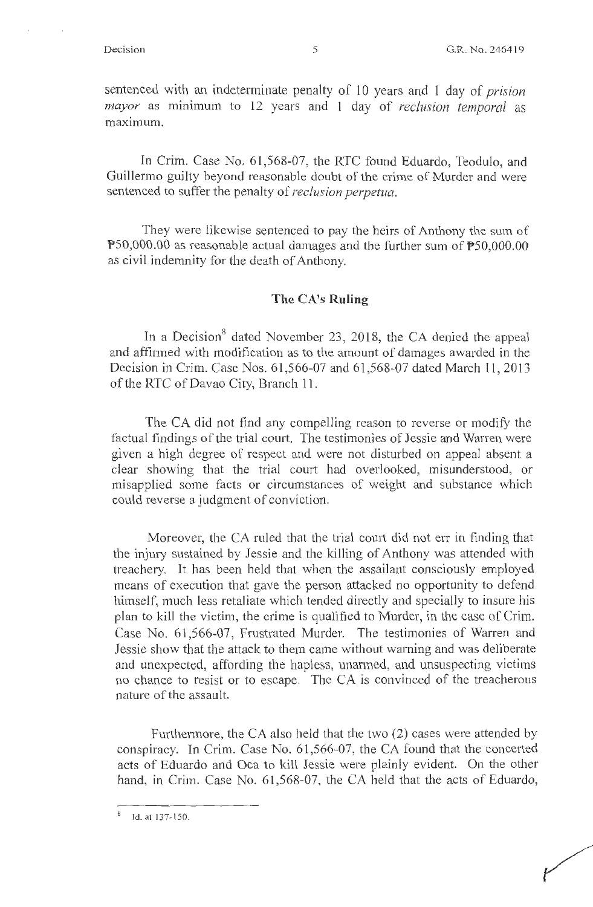sentenced with an indeterminate penalty of 10 years and 1 day of *prision mayor* as minimum to 12 years and 1 day of *reclusion temporal* as maximum.

In Crim. Case No. 61,568-07, the RTC found Eduardo, Teodulo, and Guillermo guilty beyond reasonable doubt of the crime of Murder and were sentenced to suffer the penalty of *reclusion perpetua*.

They were likewise sentenced to pay the heirs of Anthony the sum of P50,000.00 as reasonable actual damages and the further sum of PS0,000.00 as civil indemnity for the death of Anthony.

#### **The CA's Ruling**

In a Decision<sup>8</sup> dated November 23, 2018, the CA denied the appeal and affirmed with modification as to the amount of damages awarded in the Decision in Crim. Case Nos. 61,566-07 and 61,568-07 dated March 11, 2013 of the RTC of Davao City, Branch 11.

The CA did not find any compelling reason to reverse or modify the factual findings of the trial court. The testimonies of Jessie and Warren were given a high degree of respect and were not disturbed on appeal absent a clear showing that the trial court had overlooked, misunderstood, or misapplied some facts or circumstances of weight and substance which could reverse a judgment of conviction.

Moreover, the CA ruled that the trial court did not err in finding that the injury sustained by Jessie and the killing of Anthony was attended with treachery. It has been held that when the assailant consciously employed means of execution that gave the person attacked no opportunity to defend himself, much less retaliate which tended directly and specially to insure his plan to kill the victim, the crime is qualified to Murder, in the case of Crim. Case No. 61,566-07, Frustrated Murder. The testimonies of Warren and Jessie show that the attack to them came without warning and was deliberate and unexpected, affording the hapless, unarmed, and unsuspecting victims no chance to resist or to escape. The CA is convinced of the treacherous nature of the assault.

Furthermore, the CA also held that the two (2) cases were attended by conspiracy. In Crim. Case No.  $61,566-07$ , the CA found that the concerted acts of Eduardo and Oca to kill Jessie were plainly evident. On the other hand, in Crim. Case No. 61,568-07, the CA held that the acts of Eduardo,

<sup>&</sup>lt;sup>8</sup> Id. at 137-150.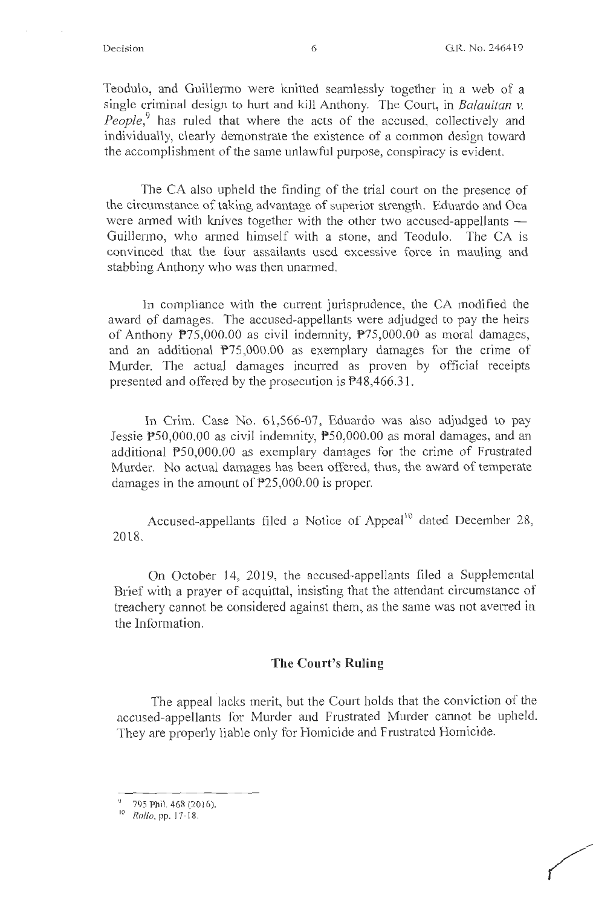Teodulo, and Guillermo were knitted seamlessly together in a web of a single criminal design to hurt and kill Anthony. The Court, in Balauitan v. *People*,<sup>9</sup> has ruled that where the acts of the accused, collectively and individually, clearly demonstrate the existence of a common design toward the accomplishment of the same unlawful purpose, conspiracy is evident.

The CA also upheld the finding of the trial court on the presence of the circumstance of taking advantage of superior strength. Eduardo and Oca were armed with knives together with the other two accused-appellants  $-$ Guillermo, who armed himself with a stone, and Teodulo. The CA is convinced that the four assailants used excessive force in mauling and stabbing Anthony who was then unarmed.

In compliance with the current jurisprudence, the CA modified the award of damages. The accused-appellants were adjudged to pay the heirs of Anthony P75,000.00 as civil indemnity, P75,000.00 as moral damages, and an additional  $P75,000.00$  as exemplary damages for the crime of Murder. The actual damages incurred as proven by official receipts presented and offered by the prosecution is P48,466.3 1.

In Crim. Case No. 61,566-07, Eduardo was also adjudged to pay Jessie  $P50,000.00$  as civil indemnity,  $P50,000.00$  as moral damages, and an additional PS0,000.00 as exemplary damages for the crime of Frustrated Murder. No actual damages has been offered, thus, the award of temperate damages in the amount of P25,000.00 is proper.

Accused-appellants filed a Notice of Appeal<sup>10</sup> dated December 28, 2018.

On October 14, 2019, the accused-appellants filed a Supplemental Brief with a prayer of acquittal, insisting that the attendant circumstance of treachery cannot be considered against them, as the same was not averred in the Information.

#### **The Court's Ruling**

The appeal lacks merit, but the Court holds that the conviction of the accused-appellants for Murder and Frustrated Murder cannot be upheld. They are properly liable only for Homicide and Frustrated Homicide.

<sup>9</sup>795 Phil. 468 (2016).

<sup>10</sup>*Rollo,* pp. 17- 18.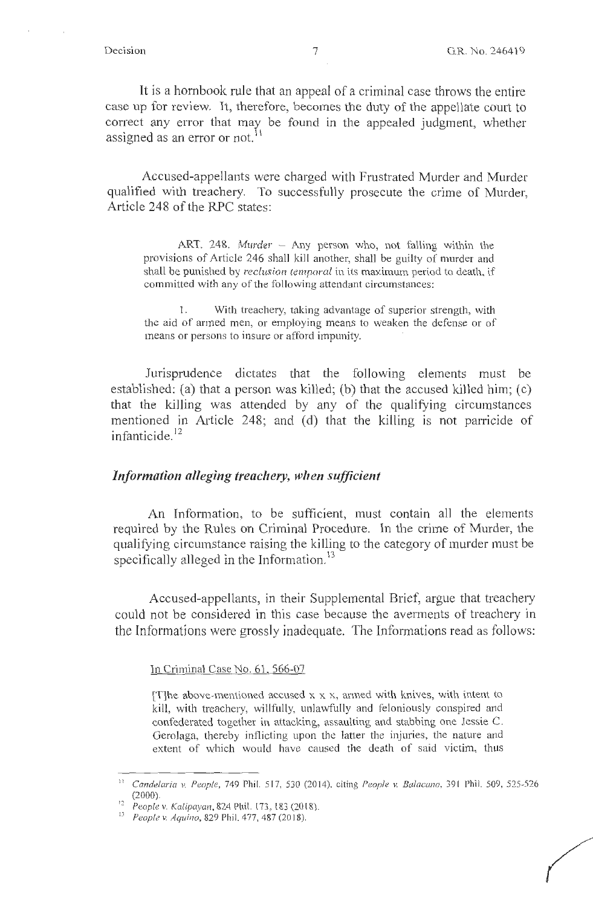*(* 

It is a hornbook rule that an appeal of a criminal case throws the entire case up for review. It, therefore, becomes the duty of the appellate court to correct any error that may be found in the appealed judgment, whether assigned as an error or not.<sup>11</sup>

Accused-appellants were charged with Frustrated Murder and Murder qualified with treachery. To successfully prosecute the crime of Murder, Article 248 of the RPC states:

ART. 248. *Murder* - Any person who, not falling within the provisions of Article 246 shall kill another, shall be guilty of murder and shall be punished by *reclusion temporal* in its maximum period to death, if committed with any of the following attendant circumstances:

1. With treachery, taking advantage of superior strength, with the aid of armed men, or employing means to weaken the defense or of means or persons to insure or afford impunity.

Jurisprudence dictates that the following elements must be established: (a) that a person was killed; (b) that the accused killed him; (c) that the killing was attended by any of the qualifying circumstances mentioned in Article 248; and (d) that the killing is not parricide of infanticide. <sup>12</sup>

#### *Information alleging treachery, when sufficient*

An Information, to be sufficient, must contain all the elements required by the Rules on Criminal Procedure. In the crime of Murder, the qualifying circumstance raising the killing to the category of murder must be specifically alleged in the Information.<sup>13</sup>

Accused-appellants, in their Supplemental Brief, argue that treachery could not be considered in this case because the averments of treachery in the Informations were grossly inadequate. The Informations read as follows:

In Criminal Case No. 61, 566-07

[T]he above-mentioned accused  $x \times x$ , armed with knives, with intent to kill, with treachery, willfully, unlawfully and feloniously conspired and confederated together in attacking, assaulting and stabbing one Jessie C. Gerolaga, thereby inflicting upon the latter the injuries, the nature and extent of which would have caused the death of said victim, thus

<sup>11</sup>*Candelaria v. People,* 749 Phil. 5 17, 530 (20 14), citing *People v. Balacano,* 391 Phil. 509, 525-526

<sup>(2000). 12</sup> *People v. Kalipayan,* 824 Phil. 173, 183 (2018). <sup>13</sup>*People v. Aquino,* 829 Phil. 477, 487(2018).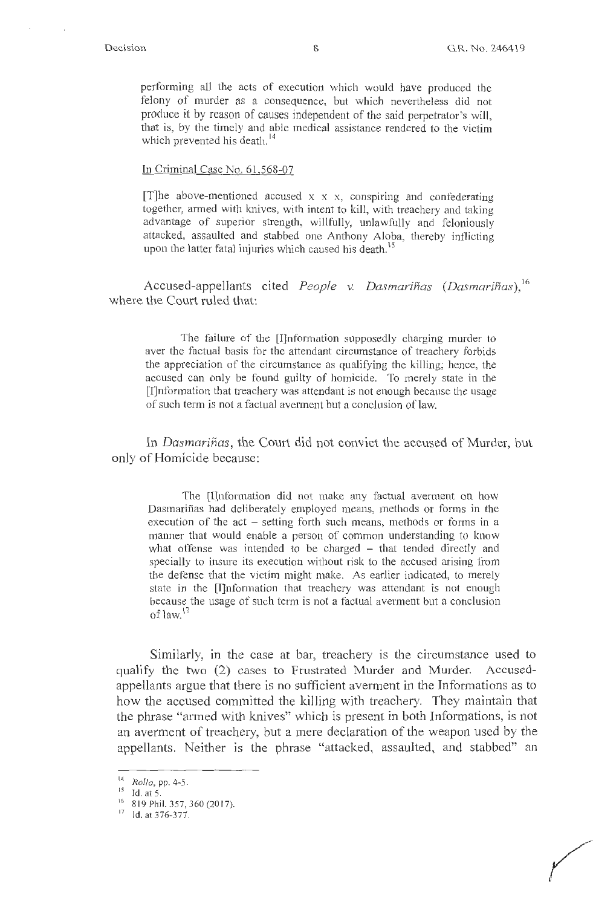performing all the acts of execution which would have produced the felony of murder as a consequence, but which nevertheless did not produce it by reason of causes independent of the said perpetrator's will, that is, by the timely and able medical assistance rendered to the victim which prevented his death.<sup>14</sup>

#### ln Criminal Case No. 61,568-07

[T]he above-mentioned accused  $x \times x$ , conspiring and confederating together, armed with knives, with intent to kill, with treachery and taking advantage of superior strength, willfully, unlawfully and feloniously attacked, assaulted and stabbed one Anthony Aloba, thereby inflicting upon the latter fatal injuries which caused his death.<sup>15</sup>

Accused-appellants cited *People v. Dasmarinas (Dasmarinas),* <sup>16</sup> where the Court ruled that:

The failure of the [I]nformation supposedly charging murder to aver the factual basis for the attendant circumstance of treachery forbids the appreciation of the circumstance as qualifying the killing; hence, the accused can only be found guilty of homicide. To merely state in the [I]nformation that treachery was attendant is not enough because the usage of such term is not a factual averment but a conclusion of law.

In *Dasmarinas,* the Court did not convict the accused of Murder, but only of Homicide because:

The [I]nformation did not make any factual averment on bow Dasmariñas had deliberately employed means, methods or forms in the execution of the act – setting forth such means, methods or forms in a manner that would enable a person of common understanding to know what offense was intended to be charged – that tended directly and specially to insure its execution without risk to the accused arising from the defense that the victim might make. As earlier indicated, to merely state in the [J]nformation that treachery was attendant is not enough because the usage of such term is not a factual averment but a conclusion of law. 17

Similarly, in the case at bar, treachery is the circumstance used to qualify the two (2) cases to Frustrated Murder and Murder. Accusedappellants argue that there is no sufficient avennent in the Informations as to how the accused committed the killing with treachery. They maintain that the phrase "armed with knives" which is present in both Informations, is not an averment of treachery, but a mere declaration of the weapon used by the appellants. Neither is the phrase "attacked, assaulted, and stabbed" an

<sup>&</sup>lt;sup>14</sup> *Rollo*, pp. 4-5.<br><sup>15</sup> Id. at 5.

 $\frac{16}{17}$  819 Phil. 357, 360 (2017).<br><sup>17</sup>Id. at 376-377.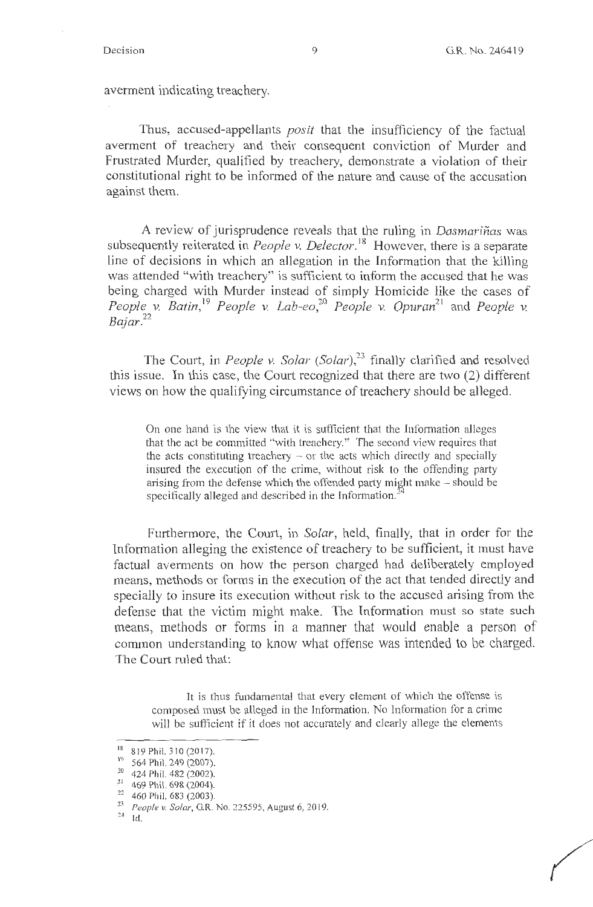averment indicating treachery.

Thus, accused-appellants *posit* that the insufficiency of the factual averment of treachery and their consequent conviction of Murder and Frustrated Murder, qualified by treachery, demonstrate a violation of their constitutional right to be informed of the nature and cause of the accusation against them.

A review of jurisprudence reveals that the ruling in *Dasmarinas* was subsequently reiterated in *People v. Delector*.<sup>18</sup> However, there is a separate line of decisions in which an allegation in the Information that the killing was attended "with treachery" is sufficient to inform the accused that he was being charged with Murder instead of simply Homicide like the cases of *People v. Batin*,<sup>19</sup> *People v. Lab-eo*,<sup>20</sup> *People v. Opuran*<sup>21</sup> and *People v.* Bajar.<sup>22</sup>

The Court, in *People v. Solar* (Solar),<sup>23</sup> finally clarified and resolved this issue. In this case, the Court recognized that there are two (2) different views on how the qualifying circumstance of treachery should be alleged.

On one hand is the view that it is sufficient that the Information alleges that the act be committed "with treachery." The second view requires that the acts constituting treachery  $-$  or the acts which directly and specially insured the execution of the crime, without risk to the offending party arising from the defense which the offended party might make – should be specifically alleged and described in the Information.<sup>2</sup>

Furthermore, the Court, in *Solar,* held, finally, that in order for the Information alleging the existence of treachery to be sufficient, it must have factual averments on how the person charged had deliberately employed means, methods or forms in the execution of the act that tended directly and specially to insure its execution without risk to the accused arising from the defense that the victim might make. The Information must so state such means, methods or forms in a manner that would enable a person of common understanding to know what offense was intended to be charged. The Court ruled that:

It is thus fundamental that every element of which the offense is composed must be alleged in the Information. No Information for a crime will be sufficient if it does not accurately and clearly allege the elements

<sup>&</sup>lt;sup>18</sup> 819 Phil. 310 (2017).

<sup>&</sup>lt;sup>19</sup> 564 Phil. 249 (2007).

 $^{20}$  424 Phil. 482 (2002).<br><sup>21</sup> 469 Phil. 698 (2004).

<sup>&</sup>lt;sup>22</sup> 460 Phil. 683 (2003). <br><sup>23</sup> *People v. Solar*, G.R. No. 225595, August 6, 2019.

 $^{24}$   $\,$  Id.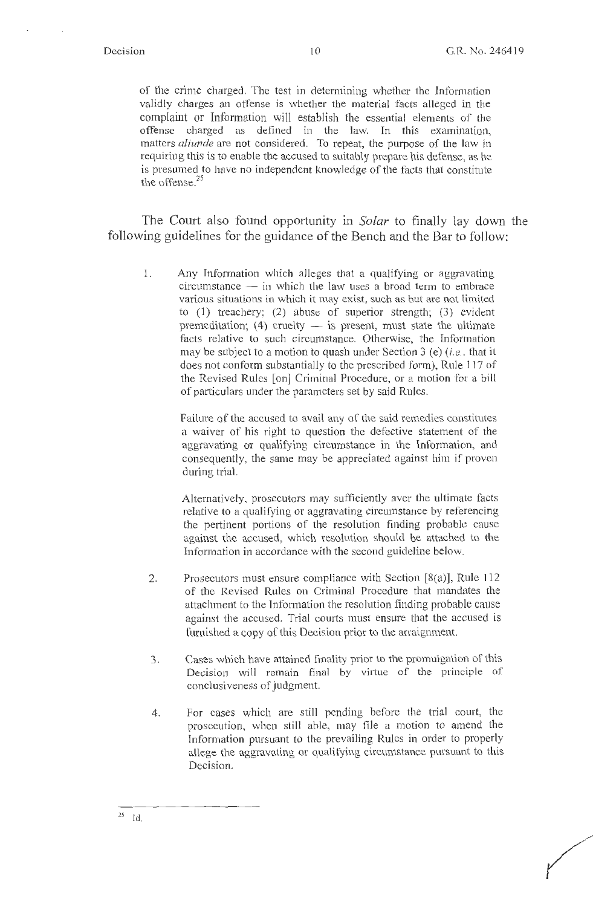of the crime charged. The test in determining whether the Information validly charges an offense is whether the material facts alleged in the complaint or Information will establish the essential elements of the offense charged as defined in the law. In this examination, matters *aliunde* are not considered. To repeat, the purpose of the law in requiring this is to enable the accused to suitably prepare his defense, as he is presumed to have no independent knowledge of the facts that constitute the offense. $25$ 

The Court also found opportunity in *Solar* to finally lay down the following guidelines for the guidance of the Bench and the Bar to follow:

I. Any Information which alleges that a qualifying or aggravating circumstance - in which the law uses a broad term to embrace various situations in which it may exist, such as but are not limited to (1) treachery; (2) abuse of superior strength; (3) evident premeditation; (4) cruelty  $-$  is present, must state the ultimate facts relative to such circumstance. Otherwise, the Information may be subject to a motion to quash under Section 3 (e) *(i.e., that it* does not conform substantially to the prescribed form), Rule 117 of the Revised Rules [on] Criminal Procedure, or a motion for a bill of particulars under the parameters set by said Rules.

> Failure of the accused to avail any of the said remedies constitutes a waiver of his right to question the defective statement of the aggravating or qualifying circumstance in the Information, and consequently, the same may be appreciated against him if proven during trial.

> Alternatively, prosecutors may sufficiently aver the ultimate facts relative to a qualifying or aggravating circumstance by referencing the pertinent portions of the resolution finding probable cause against the accused, which resolution should be attached to the Information in accordance with the second guideline below.

- 2. Prosecutors must ensure compliance with Section [8(a)), Rule 112 of the Revised Rules on Criminal Procedure that mandates the attachment to the Information the resolution finding probable cause against the accused. Trial courts must ensure that the accused is furnished a copy of this Decision prior to the arraignment.
- 3. Cases which have attained finality prior to the promulgation of this Decision will remain final by virtue of the principle of conclusiveness of judgment.
- 4. For cases which are still pending before the trial court, the prosecution, when still able, may file a motion to amend the lnformation pursuant to the prevailing Rules in order to properly allege the aggravating or qualifying circumstance pursuant to this Decision.

<sup>2</sup>s Id.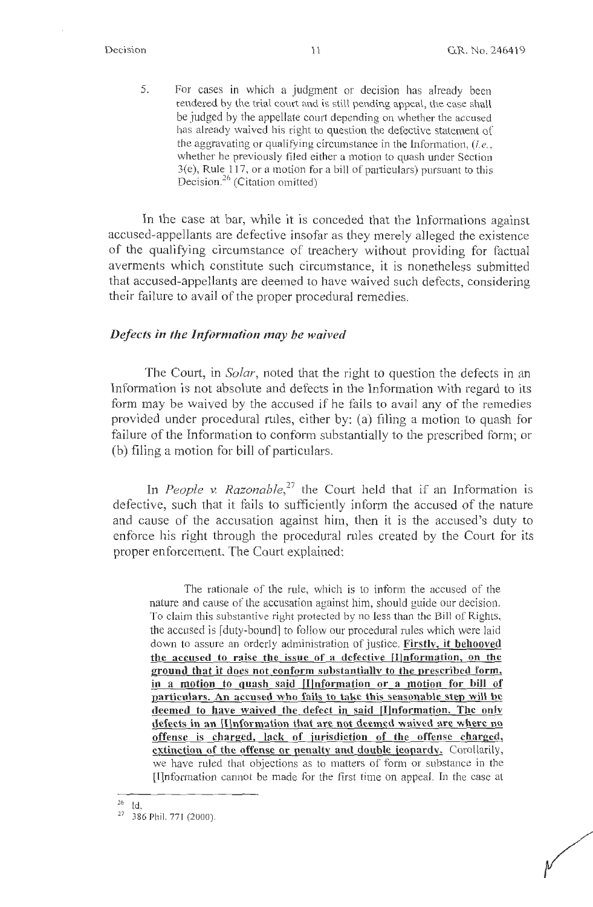5. For cases in which a judgment or decision has already been rendered by the trial court and is still pending appeal, the case shall be judged by the appellate court depending on whether the accused has already waived his right to question the defective statement of the aggravating or qualifying circumstance in the Information, *(i.e.,*  whether he previously filed either a motion to quash under Section  $3(e)$ , Rule 117, or a motion for a bill of particulars) pursuant to this Decision.<sup>26</sup> (Citation omitted)

In the case at bar, while it is conceded that the Informations against accused-appellants are defective insofar as they merely alleged the existence of the qualifying circumstance of treachery without providing for factual averments which constitute such circumstance, it is nonetheless submitted that accused-appellants are deemed to have waived such defects, considering their failure to avail of the proper procedural remedies.

#### *Defects in the Information may be waived*

The Court, in *Solar,* noted that the right to question the defects in an Information is not absolute and defects in the Information with regard to its form may be waived by the accused if he fails to avail any of the remedies provided under procedural rules, either by: (a) filing a motion to quash for failure of the Information to conform substantially to the prescribed form; or (b) filing a motion for bill of particulars.

In *People* v. *Razonable,<sup>27</sup>*the Court held that if an Information is defective, such that it fails to sufficiently inform the accused of the nature and cause of the accusation against him, then it is the accused's duty to enforce his right through the procedural rules created by the Court for its proper enforcement. The Court explained:

The rationale of the rule, which is to inform the accused of the nature and cause of the accusation against him, should guide our decision. To claim this substantive right protected by no less than the Bill of Rights, the accused is [duty-bound] to follow our procedural rules which were laid down to assure an orderly administration of justice. **Firstly, it behooved the accused to raise the issue of a defective [Ilnformation, on the ground that it does not conform substantially to the prescribed form, in a motion to quash said (llnformation or a motion for bill of particulars. An accused who fails to take this seasonable step will be deemed to have waived the defect in said [I]nformation. The only defects in an [IJnformation that are not deemed waived are where no offense is charged, lack of jurisdiction of the offense charged, extinction of the offense or penalty and double jeopardy.** Corollarily, we have ruled that objections as to matters of form or substance in the [I]nformation cannot be made for the first time on appeal. In the case at

 $26$  Id.

<sup>&</sup>lt;sup>27</sup> 386 Phil. 771 (2000).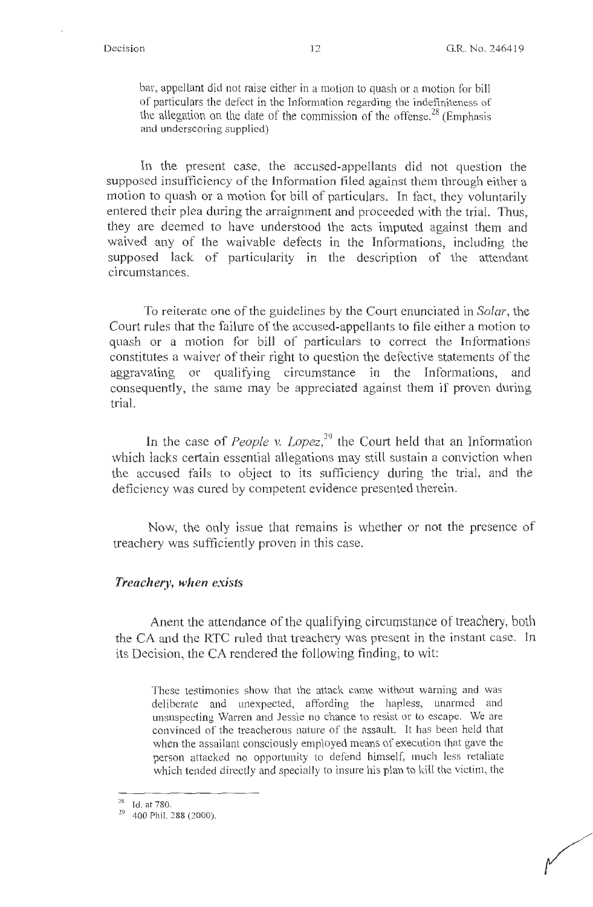bar, appellant did not raise either in a motion to quash or a motion for bill of particulars the defect in the Information regarding the indefiniteness of the allegation on the date of the commission of the offense.<sup>28</sup> (Emphasis and underscoring supplied)

In the present case, the accused-appellants did not question the supposed insufficiency of the Information filed against them through either a motion to quash or a motion for bill of particulars. In fact, they voluntarily entered their plea during the arraignment and proceeded with the trial. Thus, they are deemed to have understood the acts imputed against them and waived any of the waivable defects in the Informations, including the supposed lack of particularity in the description of the attendant circumstances.

To reiterate one of the guidelines by the Court enunciated in *Solar,* the Court rules that the failure of the accused-appellants to file either a motion to quash or a motion for bill of particulars to correct the Informations constitutes a waiver of their right to question the defective statements of the aggravating or qualifying circumstance in the Informations, and consequently, the same may be appreciated against them if proven during trial.

In the case of *People v. Lopez*,<sup>29</sup> the Court held that an Information which lacks certain essential allegations may still sustain a conviction when the accused fails to object to its sufficiency during the trial, and the deficiency was cured by competent evidence presented therein.

Now, the only issue that remains is whether or not the presence of treachery was sufficiently proven in this case.

#### *Treachery, when exists*

Anent the attendance of the qualifying circumstance of treachery, both the CA and the RTC ruled that treachery was present in the instant case. In its Decision, the CA rendered the following finding, to wit:

These testimonies show that the attack came without warning and was deliberate and unexpected, affording the hapless, unarmed and unsuspecting Warren and Jessie no chance to resist or to escape. We are convinced of the treacherous nature of the assault. It has been held that when the assailant consciously employed means of execution that gave the person attacked no opportunity to defend himself, much less retaliate which tended directly and specially to insure his plan to kill the victim, the

<sup>28</sup> Id. at 780.

 $29$  400 Phil. 288 (2000).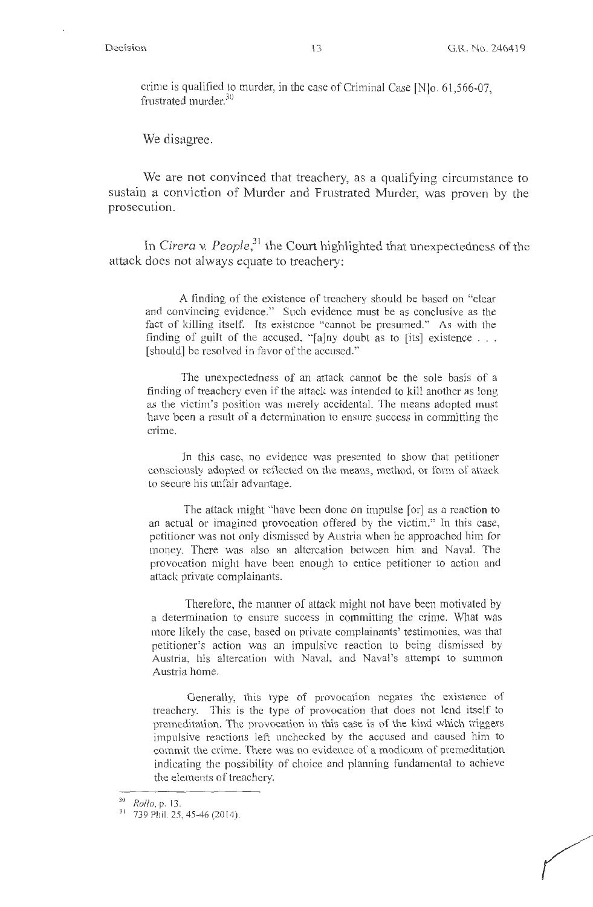crime is qualified to murder, in the case of Criminal Case [N]o. 61,566-07, frustrated murder.<sup>30</sup>

We disagree.

We are not convinced that treachery, as a qualifying circumstance to sustain a conviction of Murder and Frustrated Murder, was proven by the prosecution.

In *Cirera v. People,31* the Court highlighted that unexpectedness of the attack does not always equate to treachery:

A finding of the existence of treachery should be based on "clear and convincing evidence." Such evidence must be as conclusive as the fact of killing itself. Its existence "cannot be presumed." As with the finding of guilt of the accused, "[a]ny doubt as to [its] existence  $\ldots$ . [should] be resolved in favor of the accused."

The unexpectedness of an attack cannot be the sole basis of a finding of treachery even if the attack was intended to kill another as long as the victim's position was merely accidental. The means adopted must have been a result of a determination to ensure success in committing the crime.

In this case, no evidence was presented to show that petitioner consciously adopted or reflected on the means, method, or form of attack to secure his unfair advantage.

The attack might "have been done on impulse [or] as a reaction to an actual or imagined provocation offered by the victim." In this case, petitioner was not only dismissed by Austria when he approached him for money. There was also an altercation between him and Naval. The provocation might have been enough to entice petitioner to action and attack private complainants.

Therefore, the manner of attack might not have been motivated by a determination to ensure success in committing the crime. What was more likely the case, based on private complainants' testimonies, was that petitioner's action was an impulsive reaction to being dismissed by Austria, his altercation with Naval, and Naval's attempt to summon Austria home.

Generally, this type of provocation negates the existence of treachery. This is the type of provocation that does not lend itself to premeditation. The provocation in this case is of the kind which triggers impulsive reactions left unchecked by the accused and caused him to commit the crime. There was no evidence of a modicum of premeditation indicating the possibility of choice and planning fundamental to achieve the elements of treachery.

<sup>&</sup>lt;sup>30</sup> *Rollo*, p. 13.<br><sup>31</sup> 739 Phil. 25, 45-46 (2014).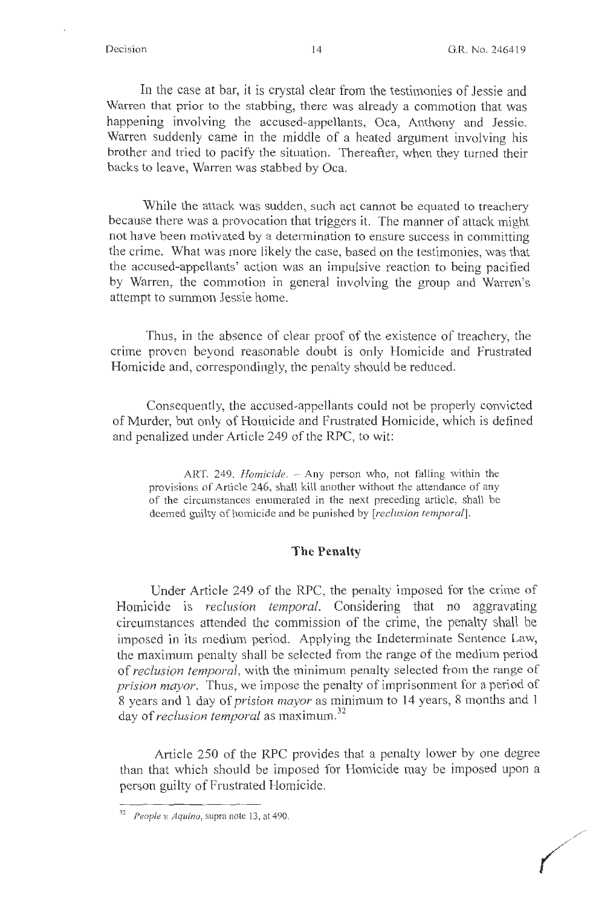In the case at bar, it is crystal clear from the testimonies of Jessie and Warren that prior to the stabbing, there was already a commotion that was happening involving the accused-appellants, Oca, Anthony and Jessie. Warren suddenly came in the middle of a heated argument involving his brother and tried to pacify the situation. Thereafter, when they turned their backs to leave, Warren was stabbed by Oca.

While the attack was sudden, such act cannot be equated to treachery because there was a provocation that triggers it. The manner of attack might not have been motivated by a determination to ensure success in committing the crime. What was more likely the case, based on the testimonies, was that the accused-appellants' action was an impulsive reaction to being pacified by Warren, the commotion in general involving the group and Warren's attempt to summon Jessie home.

Thus, in the absence of clear proof of the existence of treachery, the crime proven beyond reasonable doubt is only Homicide and Frustrated Homicide and, correspondingly, the penalty should be reduced.

Consequently, the accused-appellants could not be properly convicted of Murder, but only of Homicide and Frustrated Homicide, which is defined and penalized under Article 249 of the RPC, to wit:

ART. 249. *Homicide*. - Any person who, not falling within the provisions of Article 246, shall kill another without the attendance of any of the circumstances enumerated in the next preceding article, shall be deemed guilty of homicide and be punished by *[reclusion tempora[J.* 

#### **The Penalty**

Under Article 249 of the RPC, the penalty imposed for the crime of Homicide is *reclusion temporal.* Considering that no aggravating circumstances attended the commission of the crime, the penalty shall be imposed in its medium period. Applying the Indeterminate Sentence Law, the maximum penalty shall be selected from the range of the medium period of *reclusion temporal,* with the minimum penalty selected from the range of *prision mayor.* Thus, we impose the penalty of imprisonment for a period of 8 years and 1 day of *prision mayor* as minimum to 14 years, 8 months and 1 day of *reclusion temporal* as maximum.<sup>32</sup>

Article 250 of the RPC provides that a penalty lower by one degree than that which should be imposed for Homicide may be imposed upon a person guilty of Frustrated Homicide.

 $32$  People v. Aquino, supra note 13, at 490.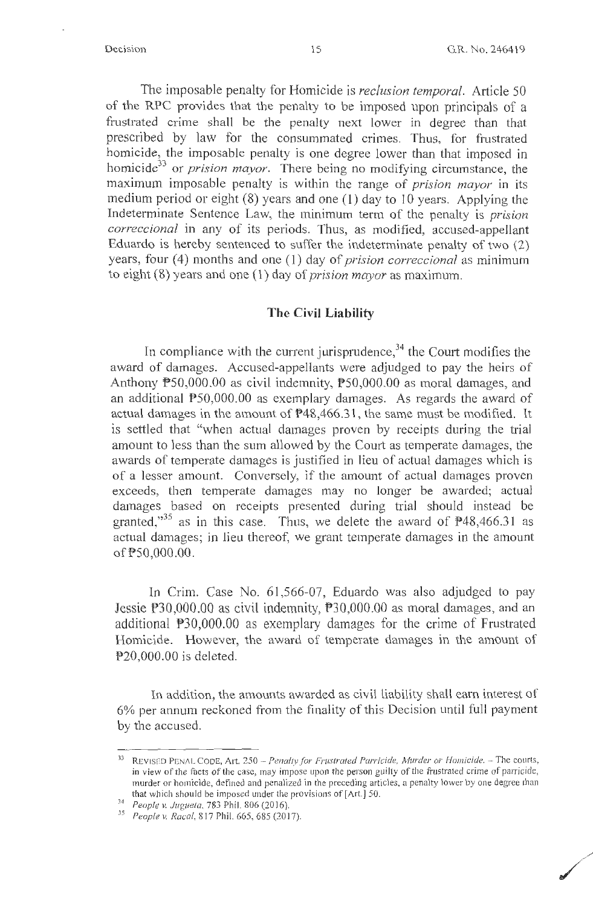**/** 

The imposable penalty for Homicide is *reclusion temporal.* Article 50 of the RPC provides that the penalty to be imposed upon principals of a frustrated crime shall be the penalty next lower in degree than that prescribed by law for the consummated crimes. Thus, for frustrated homicide, the imposable penalty is one degree lower than that imposed in homicide<sup>33</sup> or *prision mayor*. There being no modifying circumstance, the maximum imposable penalty is within the range of *prision mayor* in its medium period or eight (8) years and one (1) day to 10 years. Applying the Indeterminate Sentence Law, the minimum term of the penalty is *prision correccional* in any of its periods. Thus, as modified, accused-appellant Eduardo is hereby sentenced to suffer the indeterminate penalty of two (2) years, four (4) months and one (1) day of *prision correccional* as minimum to eight (8) years and one (l) day of *prision mayor* as maximum.

#### **The Civil Liability**

In compliance with the current jurisprudence,  $34$  the Court modifies the award of damages. Accused-appellants were adjudged to pay the heirs of Anthony P50,000.00 as civil indemnity, P50,000.00 as moral damages, and an additional PS0,000.00 as exemplary damages. As regards the award of actual damages in the amount of P48,466.31, the same must be modified. It is settled that "when actual damages proven by receipts during the trial amount to less than the sum allowed by the Court as temperate damages, the awards of temperate damages is justified in lieu of actual damages which is of a lesser amount. Conversely, if the amount of actual damages proven exceeds, then temperate damages may no longer be awarded; actual damages based on receipts presented during trial should instead be granted,"<sup>35</sup> as in this case. Thus, we delete the award of  $\mathbb{P}48,466.31$  as actual damages; in lieu thereof, we grant temperate damages in the amount of PS0,000.00.

In Crim. Case No. 61,566-07, Eduardo was also adjudged to pay Jessie  $P30,000.00$  as civil indemnity,  $P30,000.00$  as moral damages, and an additional P30,000.00 as exemplary damages for the crime of Frustrated Homicide. However, the award of temperate damages in the amount of P20,000.00 is deleted.

In addition, the amounts awarded as civil liability shall earn interest of 6% per annum reckoned from the finality of this Decision until full payment by the accused.

<sup>&</sup>lt;sup>33</sup> REVISED PENAL CODE, Art. 250 - *Penalty for Frustrated Parricide, Murder or Homicide.* - The courts, in view of the facts of the case, may impose upon the person guilty of the frustrated crime of parricide, murder or homicide, defined and penalized in the preceding articles, a penalty lower by one degree than that which should be imposed under the provisions of[Art.] 50.

<sup>~</sup> <sup>4</sup>*People v. Juguela,* 783 Phil. 806(2016).

<sup>&</sup>lt;sup>35</sup> People v. Racal, 817 Phil. 665, 685 (2017).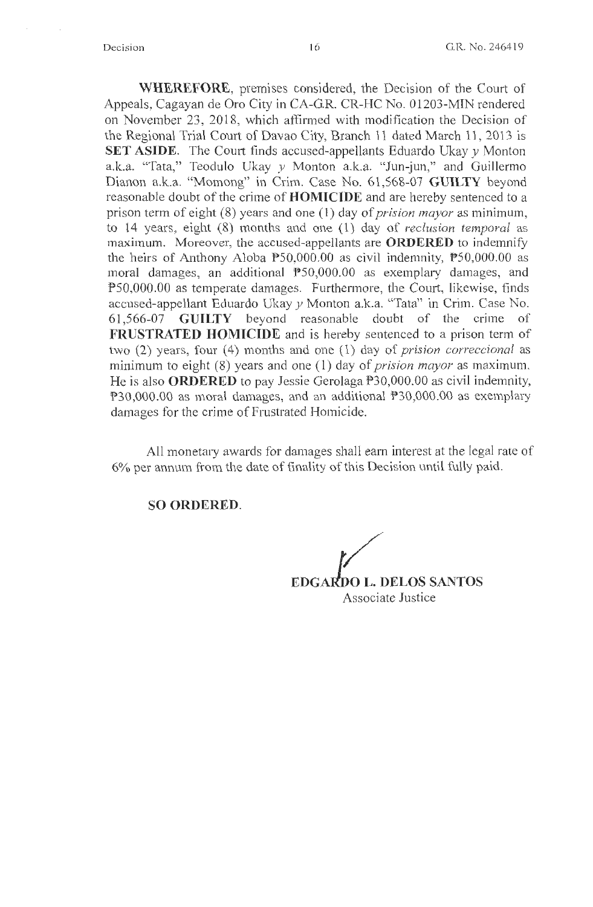**WHEREFORE,** premises considered, the Decision of the Court of Appeals, Cagayan de Oro City in CA-GR. CR-HC No. 01203-MIN rendered on November 23, 2018, which affirmed with modification the Decision of the Regional Trial Court of Davao City, Branch 11 dated March 11 , 2013 is **SET ASIDE.** The Court finds accused-appellants Eduardo Ukay y Monton a.k.a. "Tata," Teodulo Ukay *y* Monton a.k.a. "Jun-jun," and Guillermo Dianon a.k.a. "Momong" in Crim. Case No. 61,568-07 **GUILTY** beyond reasonable doubt of the crime of **HOMICIDE** and are hereby sentenced to a prison term of eight (8) years and one ( 1) day of *prision mayor* as minimum, to 14 years, eight (8) months and one (1) day of *reclusion temporal* as maximum. Moreover, the accused-appellants are **ORDERED** to indemnify the heirs of Anthony Aloba  $P50,000.00$  as civil indemnity,  $P50,000.00$  as moral damages, an additional PS0,000.00 as exemplary damages, and P50,000.00 as temperate damages. Furthermore, the Court, likewise, finds accused-appellant Eduardo Ukay y Monton a.k.a. "Tata" in Crim. Case No. 61,566-07 **GUILTY** beyond reasonable doubt of the crime of **FRUSTRATED HOMICIDE** and is hereby sentenced to a prison term of two (2) years, four (4) months and one (1) day of *prision correccional* as minimum to eight (8) years and one (1) day of *prision mayor* as maximum. He is also **ORDERED** to pay Jessie Gerolaga P30,000.00 as civil indemnity, P30,000.00 as moral damages, and an additional P30,000.00 as exemplary damages for the crime of Frustrated Homicide.

All monetary awards for damages shall earn interest at the legal rate of 6% per annum from the date of finality of this Decision until fully paid.

**SO ORDERED.** 

**EDGARDO L. DELOS SANTOS** Associate Justice